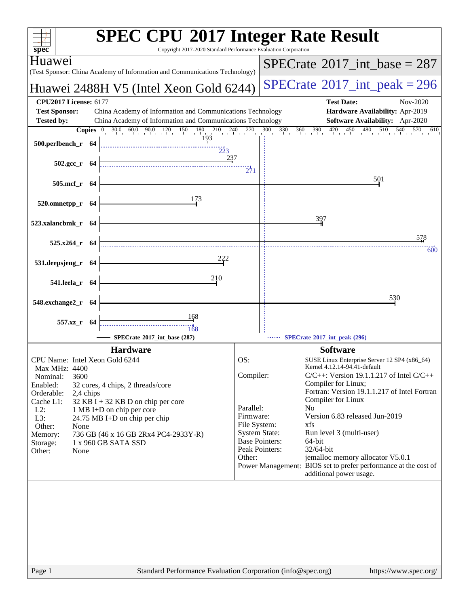| $spec^*$                                                                                                                                               | <b>SPEC CPU®2017 Integer Rate Result</b><br>Copyright 2017-2020 Standard Performance Evaluation Corporation |
|--------------------------------------------------------------------------------------------------------------------------------------------------------|-------------------------------------------------------------------------------------------------------------|
| Huaweı                                                                                                                                                 | $SPECTate$ <sup>®</sup> 2017_int_base = 287                                                                 |
| (Test Sponsor: China Academy of Information and Communications Technology)                                                                             |                                                                                                             |
| Huawei 2488H V5 (Intel Xeon Gold 6244)                                                                                                                 | $SPECrate^{\circ}2017\_int\_peak = 296$                                                                     |
| <b>CPU2017 License: 6177</b>                                                                                                                           | <b>Test Date:</b><br>Nov-2020                                                                               |
| <b>Test Sponsor:</b><br>China Academy of Information and Communications Technology                                                                     | Hardware Availability: Apr-2019                                                                             |
| <b>Tested by:</b><br>China Academy of Information and Communications Technology                                                                        | <b>Software Availability:</b> Apr-2020<br>570 610                                                           |
| <b>Copies</b> $\begin{bmatrix} 0 & 30.0 & 60.0 & 90.0 & 120 & 150 & 180 & 210 & 240 & 270 \\ 193 & 193 & 193 & 193 & 190 & 190 & 190 \\ \end{bmatrix}$ | $300$ $330$ $360$ $390$ $420$ $450$ $480$ $510$ $540$ $570$                                                 |
| 500.perlbench_r 64<br>$\frac{1}{223}$                                                                                                                  |                                                                                                             |
| 237<br>$502.\text{gcc r}$ 64                                                                                                                           |                                                                                                             |
|                                                                                                                                                        | 271                                                                                                         |
| 505.mcf_r 64                                                                                                                                           | 501                                                                                                         |
|                                                                                                                                                        |                                                                                                             |
| 173<br>520.omnetpp_r 64                                                                                                                                |                                                                                                             |
|                                                                                                                                                        | 397                                                                                                         |
| 523.xalancbmk_r 64                                                                                                                                     |                                                                                                             |
|                                                                                                                                                        | 578                                                                                                         |
| 525.x264_r 64                                                                                                                                          | 600                                                                                                         |
| 531.deepsjeng_r 64                                                                                                                                     |                                                                                                             |
|                                                                                                                                                        |                                                                                                             |
| 210<br>541.leela_r 64                                                                                                                                  |                                                                                                             |
|                                                                                                                                                        | 530                                                                                                         |
| 548.exchange2_r 64                                                                                                                                     |                                                                                                             |
| 168<br>557.xz_r 64                                                                                                                                     |                                                                                                             |
| 168                                                                                                                                                    |                                                                                                             |
| SPECrate®2017 int base (287)                                                                                                                           | SPECrate*2017_int_peak (296)                                                                                |
| <b>Hardware</b>                                                                                                                                        | <b>Software</b>                                                                                             |
| CPU Name: Intel Xeon Gold 6244                                                                                                                         | OS:<br>SUSE Linux Enterprise Server 12 SP4 (x86 64)<br>Kernel 4.12.14-94.41-default                         |
| Max MHz: 4400<br>3600<br>Nominal:                                                                                                                      | Compiler:<br>$C/C++$ : Version 19.1.1.217 of Intel $C/C++$                                                  |
| Enabled:<br>32 cores, 4 chips, 2 threads/core                                                                                                          | Compiler for Linux;                                                                                         |
| Orderable:<br>2,4 chips<br>Cache L1:<br>$32$ KB I + 32 KB D on chip per core                                                                           | Fortran: Version 19.1.1.217 of Intel Fortran<br>Compiler for Linux                                          |
| $L2$ :<br>1 MB I+D on chip per core                                                                                                                    | Parallel:<br>N <sub>0</sub>                                                                                 |
| L3:<br>$24.75 \text{ MB I+D}$ on chip per chip                                                                                                         | Version 6.83 released Jun-2019<br>Firmware:                                                                 |
| Other:<br>None<br>736 GB (46 x 16 GB 2Rx4 PC4-2933Y-R)<br>Memory:                                                                                      | File System:<br>xfs<br><b>System State:</b><br>Run level 3 (multi-user)                                     |
| 1 x 960 GB SATA SSD<br>Storage:                                                                                                                        | <b>Base Pointers:</b><br>64-bit                                                                             |
| Other:<br>None                                                                                                                                         | Peak Pointers:<br>32/64-bit<br>Other:<br>jemalloc memory allocator V5.0.1                                   |
|                                                                                                                                                        | Power Management: BIOS set to prefer performance at the cost of                                             |
|                                                                                                                                                        | additional power usage.                                                                                     |
|                                                                                                                                                        |                                                                                                             |
|                                                                                                                                                        |                                                                                                             |
|                                                                                                                                                        |                                                                                                             |
|                                                                                                                                                        |                                                                                                             |
|                                                                                                                                                        |                                                                                                             |
|                                                                                                                                                        |                                                                                                             |
|                                                                                                                                                        |                                                                                                             |
| Page 1                                                                                                                                                 | Standard Performance Evaluation Corporation (info@spec.org)<br>https://www.spec.org/                        |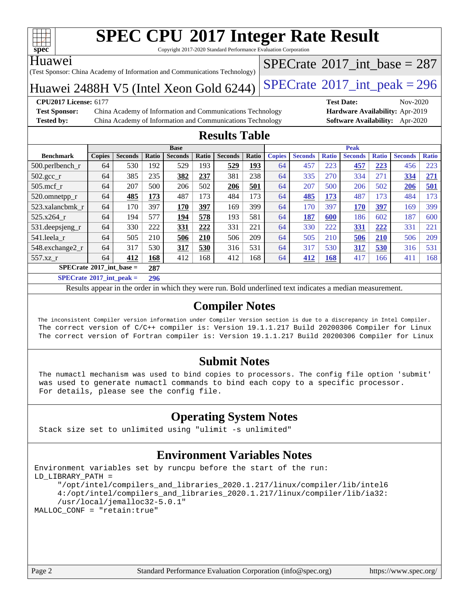

Copyright 2017-2020 Standard Performance Evaluation Corporation

#### Huawei

(Test Sponsor: China Academy of Information and Communications Technology)

Huawei 2488H V5 (Intel Xeon Gold  $6244$ ) [SPECrate](http://www.spec.org/auto/cpu2017/Docs/result-fields.html#SPECrate2017intpeak)<sup>®</sup>[2017\\_int\\_peak = 2](http://www.spec.org/auto/cpu2017/Docs/result-fields.html#SPECrate2017intpeak)96  $SPECTate$ <sup>®</sup>[2017\\_int\\_base =](http://www.spec.org/auto/cpu2017/Docs/result-fields.html#SPECrate2017intbase) 287

#### **[CPU2017 License:](http://www.spec.org/auto/cpu2017/Docs/result-fields.html#CPU2017License)** 6177 **[Test Date:](http://www.spec.org/auto/cpu2017/Docs/result-fields.html#TestDate)** Nov-2020

**[Test Sponsor:](http://www.spec.org/auto/cpu2017/Docs/result-fields.html#TestSponsor)** China Academy of Information and Communications Technology **[Hardware Availability:](http://www.spec.org/auto/cpu2017/Docs/result-fields.html#HardwareAvailability)** Apr-2019 **[Tested by:](http://www.spec.org/auto/cpu2017/Docs/result-fields.html#Testedby)** China Academy of Information and Communications Technology **[Software Availability:](http://www.spec.org/auto/cpu2017/Docs/result-fields.html#SoftwareAvailability)** Apr-2020

### **[Results Table](http://www.spec.org/auto/cpu2017/Docs/result-fields.html#ResultsTable)**

| <b>Base</b>                       |               |                |       |                | <b>Peak</b> |                |       |               |                |              |                |              |                |              |
|-----------------------------------|---------------|----------------|-------|----------------|-------------|----------------|-------|---------------|----------------|--------------|----------------|--------------|----------------|--------------|
| <b>Benchmark</b>                  | <b>Copies</b> | <b>Seconds</b> | Ratio | <b>Seconds</b> | Ratio       | <b>Seconds</b> | Ratio | <b>Copies</b> | <b>Seconds</b> | <b>Ratio</b> | <b>Seconds</b> | <b>Ratio</b> | <b>Seconds</b> | <b>Ratio</b> |
| $500.$ perlbench r                | 64            | 530            | 192   | 529            | 193         | 529            | 193   | 64            | 457            | 223          | 457            | 223          | 456            | 223          |
| $502.\text{gcc}$ <sub>r</sub>     | 64            | 385            | 235   | 382            | 237         | 381            | 238   | 64            | 335            | 270          | 334            | 271          | 334            | 271          |
| $505$ .mcf r                      | 64            | 207            | 500   | 206            | 502         | 206            | 501   | 64            | 207            | 500          | 206            | 502          | 206            | 501          |
| 520.omnetpp_r                     | 64            | 485            | 173   | 487            | 173         | 484            | 173   | 64            | 485            | 173          | 487            | 173          | 484            | 173          |
| 523.xalancbmk r                   | 64            | 170            | 397   | 170            | 397         | 169            | 399   | 64            | 170            | 397          | 170            | 397          | 169            | 399          |
| 525.x264 r                        | 64            | 194            | 577   | 194            | 578         | 193            | 581   | 64            | 187            | 600          | 186            | 602          | 187            | 600          |
| 531.deepsjeng_r                   | 64            | 330            | 222   | 331            | 222         | 331            | 221   | 64            | 330            | 222          | 331            | 222          | 331            | 221          |
| 541.leela_r                       | 64            | 505            | 210   | 506            | 210         | 506            | 209   | 64            | 505            | 210          | 506            | 210          | 506            | 209          |
| 548.exchange2_r                   | 64            | 317            | 530   | 317            | 530         | 316            | 531   | 64            | 317            | 530          | 317            | 530          | 316            | 531          |
| 557.xz r                          | 64            | 412            | 168   | 412            | 168         | 412            | 168   | 64            | 412            | 168          | 417            | 166          | 411            | 168          |
| $SPECrate^{\circ}2017$ int base = |               |                | 287   |                |             |                |       |               |                |              |                |              |                |              |
| ------                            | .             |                |       |                |             |                |       |               |                |              |                |              |                |              |

**[SPECrate](http://www.spec.org/auto/cpu2017/Docs/result-fields.html#SPECrate2017intpeak)[2017\\_int\\_peak =](http://www.spec.org/auto/cpu2017/Docs/result-fields.html#SPECrate2017intpeak) 296**

Results appear in the [order in which they were run](http://www.spec.org/auto/cpu2017/Docs/result-fields.html#RunOrder). Bold underlined text [indicates a median measurement](http://www.spec.org/auto/cpu2017/Docs/result-fields.html#Median).

### **[Compiler Notes](http://www.spec.org/auto/cpu2017/Docs/result-fields.html#CompilerNotes)**

 The inconsistent Compiler version information under Compiler Version section is due to a discrepancy in Intel Compiler. The correct version of C/C++ compiler is: Version 19.1.1.217 Build 20200306 Compiler for Linux The correct version of Fortran compiler is: Version 19.1.1.217 Build 20200306 Compiler for Linux

### **[Submit Notes](http://www.spec.org/auto/cpu2017/Docs/result-fields.html#SubmitNotes)**

 The numactl mechanism was used to bind copies to processors. The config file option 'submit' was used to generate numactl commands to bind each copy to a specific processor. For details, please see the config file.

### **[Operating System Notes](http://www.spec.org/auto/cpu2017/Docs/result-fields.html#OperatingSystemNotes)**

Stack size set to unlimited using "ulimit -s unlimited"

### **[Environment Variables Notes](http://www.spec.org/auto/cpu2017/Docs/result-fields.html#EnvironmentVariablesNotes)**

```
Environment variables set by runcpu before the start of the run:
LD_LIBRARY_PATH =
      "/opt/intel/compilers_and_libraries_2020.1.217/linux/compiler/lib/intel6
      4:/opt/intel/compilers_and_libraries_2020.1.217/linux/compiler/lib/ia32:
      /usr/local/jemalloc32-5.0.1"
MALLOC_CONF = "retain:true"
```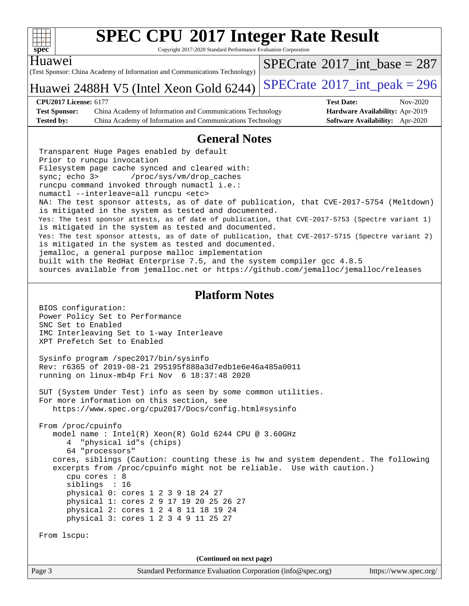| ч | ۰ |  |
|---|---|--|

Copyright 2017-2020 Standard Performance Evaluation Corporation

(Test Sponsor: China Academy of Information and Communications Technology) Huawei Huawei 2488H V5 (Intel Xeon Gold  $6244$ ) [SPECrate](http://www.spec.org/auto/cpu2017/Docs/result-fields.html#SPECrate2017intpeak)<sup>®</sup>[2017\\_int\\_peak = 2](http://www.spec.org/auto/cpu2017/Docs/result-fields.html#SPECrate2017intpeak)96  $SPECTate$ <sup>®</sup>[2017\\_int\\_base =](http://www.spec.org/auto/cpu2017/Docs/result-fields.html#SPECrate2017intbase) 287 **[CPU2017 License:](http://www.spec.org/auto/cpu2017/Docs/result-fields.html#CPU2017License)** 6177 **[Test Date:](http://www.spec.org/auto/cpu2017/Docs/result-fields.html#TestDate)** Nov-2020 **[Test Sponsor:](http://www.spec.org/auto/cpu2017/Docs/result-fields.html#TestSponsor)** China Academy of Information and Communications Technology **[Hardware Availability:](http://www.spec.org/auto/cpu2017/Docs/result-fields.html#HardwareAvailability)** Apr-2019 **[Tested by:](http://www.spec.org/auto/cpu2017/Docs/result-fields.html#Testedby)** China Academy of Information and Communications Technology **[Software Availability:](http://www.spec.org/auto/cpu2017/Docs/result-fields.html#SoftwareAvailability)** Apr-2020 **[General Notes](http://www.spec.org/auto/cpu2017/Docs/result-fields.html#GeneralNotes)** Transparent Huge Pages enabled by default Prior to runcpu invocation Filesystem page cache synced and cleared with: sync; echo 3> /proc/sys/vm/drop\_caches runcpu command invoked through numactl i.e.: numactl --interleave=all runcpu <etc> NA: The test sponsor attests, as of date of publication, that CVE-2017-5754 (Meltdown) is mitigated in the system as tested and documented. Yes: The test sponsor attests, as of date of publication, that CVE-2017-5753 (Spectre variant 1) is mitigated in the system as tested and documented. Yes: The test sponsor attests, as of date of publication, that CVE-2017-5715 (Spectre variant 2) is mitigated in the system as tested and documented. jemalloc, a general purpose malloc implementation built with the RedHat Enterprise 7.5, and the system compiler gcc 4.8.5 sources available from jemalloc.net or<https://github.com/jemalloc/jemalloc/releases> **[Platform Notes](http://www.spec.org/auto/cpu2017/Docs/result-fields.html#PlatformNotes)** BIOS configuration: Power Policy Set to Performance SNC Set to Enabled IMC Interleaving Set to 1-way Interleave XPT Prefetch Set to Enabled Sysinfo program /spec2017/bin/sysinfo Rev: r6365 of 2019-08-21 295195f888a3d7edb1e6e46a485a0011 running on linux-mb4p Fri Nov 6 18:37:48 2020 SUT (System Under Test) info as seen by some common utilities. For more information on this section, see <https://www.spec.org/cpu2017/Docs/config.html#sysinfo> From /proc/cpuinfo model name : Intel(R) Xeon(R) Gold 6244 CPU @ 3.60GHz 4 "physical id"s (chips) 64 "processors" cores, siblings (Caution: counting these is hw and system dependent. The following excerpts from /proc/cpuinfo might not be reliable. Use with caution.) cpu cores : 8 siblings : 16 physical 0: cores 1 2 3 9 18 24 27 physical 1: cores 2 9 17 19 20 25 26 27 physical 2: cores 1 2 4 8 11 18 19 24 physical 3: cores 1 2 3 4 9 11 25 27 From lscpu: **(Continued on next page)**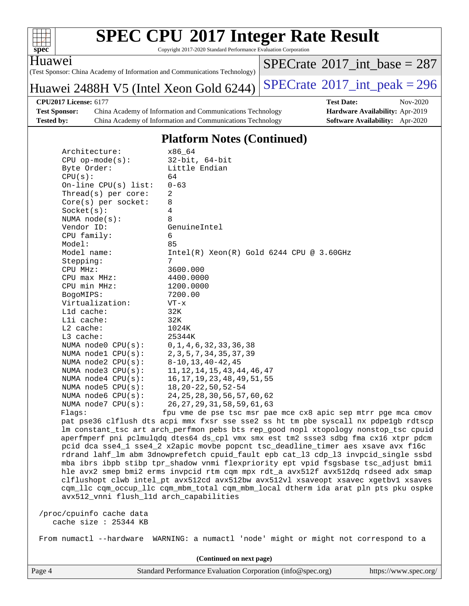

Copyright 2017-2020 Standard Performance Evaluation Corporation

Huawei

(Test Sponsor: China Academy of Information and Communications Technology)

Huawei 2488H V5 (Intel Xeon Gold  $6244$ ) [SPECrate](http://www.spec.org/auto/cpu2017/Docs/result-fields.html#SPECrate2017intpeak)<sup>®</sup>[2017\\_int\\_peak = 2](http://www.spec.org/auto/cpu2017/Docs/result-fields.html#SPECrate2017intpeak)96

 $SPECTate$ <sup>®</sup>[2017\\_int\\_base =](http://www.spec.org/auto/cpu2017/Docs/result-fields.html#SPECrate2017intbase) 287

**[Test Sponsor:](http://www.spec.org/auto/cpu2017/Docs/result-fields.html#TestSponsor)** China Academy of Information and Communications Technology **[Hardware Availability:](http://www.spec.org/auto/cpu2017/Docs/result-fields.html#HardwareAvailability)** Apr-2019 **[Tested by:](http://www.spec.org/auto/cpu2017/Docs/result-fields.html#Testedby)** China Academy of Information and Communications Technology **[Software Availability:](http://www.spec.org/auto/cpu2017/Docs/result-fields.html#SoftwareAvailability)** Apr-2020

**[CPU2017 License:](http://www.spec.org/auto/cpu2017/Docs/result-fields.html#CPU2017License)** 6177 **[Test Date:](http://www.spec.org/auto/cpu2017/Docs/result-fields.html#TestDate)** Nov-2020

#### **[Platform Notes \(Continued\)](http://www.spec.org/auto/cpu2017/Docs/result-fields.html#PlatformNotes)**

| Architecture:                                 | x86 64                                                            |
|-----------------------------------------------|-------------------------------------------------------------------|
| $CPU op-mode(s):$                             | $32$ -bit, $64$ -bit                                              |
| Byte Order:                                   | Little Endian                                                     |
| CPU(s):                                       | 64                                                                |
| On-line $CPU(s)$ list:                        | $0 - 63$                                                          |
| Thread( $s$ ) per core:                       | 2                                                                 |
| $Core(s)$ per socket:                         | 8                                                                 |
| Socket(s):                                    | 4                                                                 |
| NUMA $node(s):$                               | 8                                                                 |
| Vendor ID:                                    | GenuineIntel                                                      |
| CPU family:                                   | 6                                                                 |
| Model:                                        | 85                                                                |
| Model name:                                   | $Intel(R)$ Xeon $(R)$ Gold 6244 CPU @ 3.60GHz                     |
| Stepping:                                     | 7                                                                 |
| CPU MHz:                                      | 3600.000                                                          |
| $CPU$ $max$ $MHz$ :                           | 4400.0000                                                         |
| CPU min MHz:                                  | 1200.0000                                                         |
| BogoMIPS:                                     | 7200.00                                                           |
| Virtualization:                               | $VT - x$                                                          |
| $L1d$ cache:                                  | 32K                                                               |
| Lli cache:                                    | 32K                                                               |
| L2 cache:                                     | 1024K                                                             |
| L3 cache:                                     | 25344K                                                            |
| NUMA node0 CPU(s): 0,1,4,6,32,33,36,38        |                                                                   |
| NUMA nodel CPU(s): 2, 3, 5, 7, 34, 35, 37, 39 |                                                                   |
| NUMA node2 CPU(s):                            | 8-10,13,40-42,45                                                  |
| NUMA node3 CPU(s):                            | 11, 12, 14, 15, 43, 44, 46, 47                                    |
| NUMA node4 CPU(s):                            | 16,17,19,23,48,49,51,55                                           |
| NUMA node5 CPU(s):                            | 18, 20 - 22, 50, 52 - 54                                          |
| NUMA node6 CPU(s):                            | 24, 25, 28, 30, 56, 57, 60, 62                                    |
| NUMA node7 CPU(s):                            | 26,27,29,31,58,59,61,63                                           |
| Flags:                                        | fpu vme de pse tsc msr pae mce cx8 apic sep                       |
|                                               | pat pse36 clflush dts acpi mmx fxsr sse sse2 ss ht tm pbe syscall |

mtrr pge mca cmov pat pse36 clflush dts acpi mmx fxsr sse sse2 ss ht tm pbe syscall nx pdpe1gb rdtscp lm constant\_tsc art arch\_perfmon pebs bts rep\_good nopl xtopology nonstop\_tsc cpuid aperfmperf pni pclmulqdq dtes64 ds\_cpl vmx smx est tm2 ssse3 sdbg fma cx16 xtpr pdcm pcid dca sse4\_1 sse4\_2 x2apic movbe popcnt tsc\_deadline\_timer aes xsave avx f16c rdrand lahf\_lm abm 3dnowprefetch cpuid\_fault epb cat\_l3 cdp\_l3 invpcid\_single ssbd mba ibrs ibpb stibp tpr\_shadow vnmi flexpriority ept vpid fsgsbase tsc\_adjust bmi1 hle avx2 smep bmi2 erms invpcid rtm cqm mpx rdt\_a avx512f avx512dq rdseed adx smap clflushopt clwb intel\_pt avx512cd avx512bw avx512vl xsaveopt xsavec xgetbv1 xsaves cqm\_llc cqm\_occup\_llc cqm\_mbm\_total cqm\_mbm\_local dtherm ida arat pln pts pku ospke avx512\_vnni flush\_l1d arch\_capabilities

 /proc/cpuinfo cache data cache size : 25344 KB

From numactl --hardware WARNING: a numactl 'node' might or might not correspond to a

**(Continued on next page)**

Page 4 Standard Performance Evaluation Corporation [\(info@spec.org\)](mailto:info@spec.org) <https://www.spec.org/>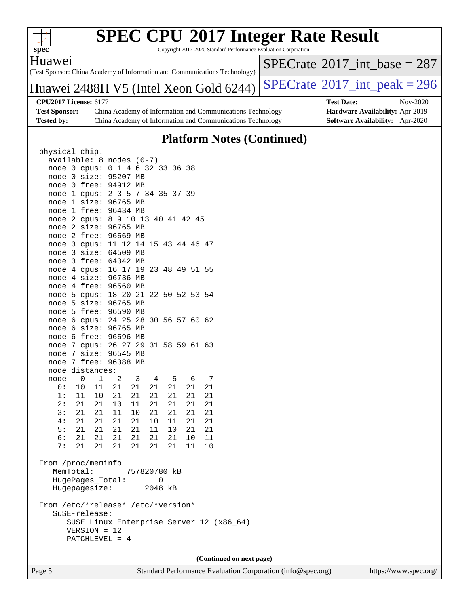

Copyright 2017-2020 Standard Performance Evaluation Corporation

Huawei

(Test Sponsor: China Academy of Information and Communications Technology)

 $SPECrate$ <sup>®</sup>[2017\\_int\\_base =](http://www.spec.org/auto/cpu2017/Docs/result-fields.html#SPECrate2017intbase) 287

## Huawei 2488H V5 (Intel Xeon Gold 6244) [SPECrate](http://www.spec.org/auto/cpu2017/Docs/result-fields.html#SPECrate2017intpeak)®[2017\\_int\\_peak = 2](http://www.spec.org/auto/cpu2017/Docs/result-fields.html#SPECrate2017intpeak)96

**[CPU2017 License:](http://www.spec.org/auto/cpu2017/Docs/result-fields.html#CPU2017License)** 6177 **[Test Date:](http://www.spec.org/auto/cpu2017/Docs/result-fields.html#TestDate)** Nov-2020 **[Test Sponsor:](http://www.spec.org/auto/cpu2017/Docs/result-fields.html#TestSponsor)** China Academy of Information and Communications Technology **[Hardware Availability:](http://www.spec.org/auto/cpu2017/Docs/result-fields.html#HardwareAvailability)** Apr-2019 **[Tested by:](http://www.spec.org/auto/cpu2017/Docs/result-fields.html#Testedby)** China Academy of Information and Communications Technology **[Software Availability:](http://www.spec.org/auto/cpu2017/Docs/result-fields.html#SoftwareAvailability)** Apr-2020

### **[Platform Notes \(Continued\)](http://www.spec.org/auto/cpu2017/Docs/result-fields.html#PlatformNotes)**

| physical chip.                       |                       |            |                                                                                         |                     |         |                                                     |                 |                                         |    |  |
|--------------------------------------|-----------------------|------------|-----------------------------------------------------------------------------------------|---------------------|---------|-----------------------------------------------------|-----------------|-----------------------------------------|----|--|
| available: 8 nodes (0-7)             |                       |            |                                                                                         |                     |         |                                                     |                 |                                         |    |  |
| node 0 cpus: 0 1 4 6 32 33 36 38     |                       |            |                                                                                         |                     |         |                                                     |                 |                                         |    |  |
| node 0 size: 95207 MB                |                       |            |                                                                                         |                     |         |                                                     |                 |                                         |    |  |
| node 0 free: 94912 MB                |                       |            |                                                                                         |                     |         |                                                     |                 |                                         |    |  |
| node 1 cpus: 2 3 5 7 34 35 37 39     |                       |            |                                                                                         |                     |         |                                                     |                 |                                         |    |  |
| node 1 size: 96765 MB                |                       |            |                                                                                         |                     |         |                                                     |                 |                                         |    |  |
| node 1 free: 96434 MB                |                       |            |                                                                                         |                     |         |                                                     |                 |                                         |    |  |
| node 2 cpus: 8 9 10 13 40 41 42 45   |                       |            |                                                                                         |                     |         |                                                     |                 |                                         |    |  |
| node 2 size: 96765 MB                |                       |            |                                                                                         |                     |         |                                                     |                 |                                         |    |  |
| node 2 free: 96569 MB                |                       |            |                                                                                         |                     |         |                                                     |                 |                                         |    |  |
| node 3 cpus: 11 12 14 15 43 44 46 47 |                       |            |                                                                                         |                     |         |                                                     |                 |                                         |    |  |
| node 3 size: 64509 MB                |                       |            |                                                                                         |                     |         |                                                     |                 |                                         |    |  |
| node 3 free: 64342 MB                |                       |            |                                                                                         |                     |         |                                                     |                 |                                         |    |  |
|                                      |                       |            |                                                                                         |                     |         |                                                     |                 |                                         |    |  |
| node 4 cpus: 16 17 19 23 48 49 51 55 |                       |            |                                                                                         |                     |         |                                                     |                 |                                         |    |  |
| node 4 size: 96736 MB                |                       |            |                                                                                         |                     |         |                                                     |                 |                                         |    |  |
| node 4 free: 96560 MB                |                       |            |                                                                                         |                     |         |                                                     |                 |                                         |    |  |
| node 5 cpus: 18 20 21 22 50 52 53 54 |                       |            |                                                                                         |                     |         |                                                     |                 |                                         |    |  |
| node 5 size: 96765 MB                |                       |            |                                                                                         |                     |         |                                                     |                 |                                         |    |  |
| node 5 free: 96590 MB                |                       |            |                                                                                         |                     |         |                                                     |                 |                                         |    |  |
| node 6 cpus: 24 25 28 30 56 57 60 62 |                       |            |                                                                                         |                     |         |                                                     |                 |                                         |    |  |
| node 6 size: 96765 MB                |                       |            |                                                                                         |                     |         |                                                     |                 |                                         |    |  |
| node 6 free: 96596 MB                |                       |            |                                                                                         |                     |         |                                                     |                 |                                         |    |  |
| node 7 cpus: 26 27 29 31 58 59 61 63 |                       |            |                                                                                         |                     |         |                                                     |                 |                                         |    |  |
| node 7 size: 96545 MB                |                       |            |                                                                                         |                     |         |                                                     |                 |                                         |    |  |
| node 7 free: 96388 MB                |                       |            |                                                                                         |                     |         |                                                     |                 |                                         |    |  |
| node distances:                      |                       |            |                                                                                         |                     |         |                                                     |                 |                                         |    |  |
| node                                 |                       | $0\qquad1$ |                                                                                         | $2 \quad 3 \quad 4$ |         | $5^{\circ}$                                         | $6\overline{6}$ |                                         | 7  |  |
|                                      |                       |            | 0: 10 11 21 21                                                                          |                     | 21      |                                                     | 21              | 21                                      | 21 |  |
|                                      |                       |            |                                                                                         |                     |         |                                                     |                 |                                         | 21 |  |
|                                      |                       |            | $\begin{array}{ccccccccc} 1: & 11 & 10 & 21 & 21 \\ 2: & 21 & 21 & 10 & 11 \end{array}$ |                     |         | $\begin{array}{ccc} 21 & 21 \\ 21 & 21 \end{array}$ |                 | $\begin{array}{c} 21 \\ 21 \end{array}$ | 21 |  |
|                                      | $\overline{3}:$ 21 21 |            | $\begin{array}{c} 11 \end{array}$                                                       | 10  21  21  21      |         |                                                     |                 |                                         | 21 |  |
|                                      | 4: 21 21              |            | 21                                                                                      | 21                  |         | 10 11                                               |                 | 21                                      | 21 |  |
|                                      | 5: 21 21              |            | 21  21  11  10                                                                          |                     |         |                                                     |                 | 21 21                                   |    |  |
|                                      | 6: 21                 | 21         | 21  21  21  21  10                                                                      |                     |         |                                                     |                 |                                         | 11 |  |
| 7:                                   | 21                    | 21         |                                                                                         | 21  21  21  21      |         |                                                     |                 | 11                                      | 10 |  |
|                                      |                       |            |                                                                                         |                     |         |                                                     |                 |                                         |    |  |
| From /proc/meminfo                   |                       |            |                                                                                         |                     |         |                                                     |                 |                                         |    |  |
| MemTotal:                            |                       |            |                                                                                         | 757820780 kB        |         |                                                     |                 |                                         |    |  |
|                                      |                       |            | HugePages_Total:                                                                        |                     |         | 0                                                   |                 |                                         |    |  |
|                                      |                       |            | Hugepagesize:                                                                           |                     | 2048 kB |                                                     |                 |                                         |    |  |
|                                      |                       |            |                                                                                         |                     |         |                                                     |                 |                                         |    |  |
| From /etc/*release* /etc/*version*   |                       |            |                                                                                         |                     |         |                                                     |                 |                                         |    |  |
| SuSE-release:                        |                       |            |                                                                                         |                     |         |                                                     |                 |                                         |    |  |
|                                      |                       |            | SUSE Linux Enterprise Server 12 (x86_64)                                                |                     |         |                                                     |                 |                                         |    |  |
|                                      | VERSION = 12          |            |                                                                                         |                     |         |                                                     |                 |                                         |    |  |
|                                      |                       |            | $PATCHLEVEL = 4$                                                                        |                     |         |                                                     |                 |                                         |    |  |
|                                      |                       |            |                                                                                         |                     |         |                                                     |                 |                                         |    |  |
|                                      |                       |            |                                                                                         |                     |         |                                                     |                 |                                         |    |  |

**(Continued on next page)**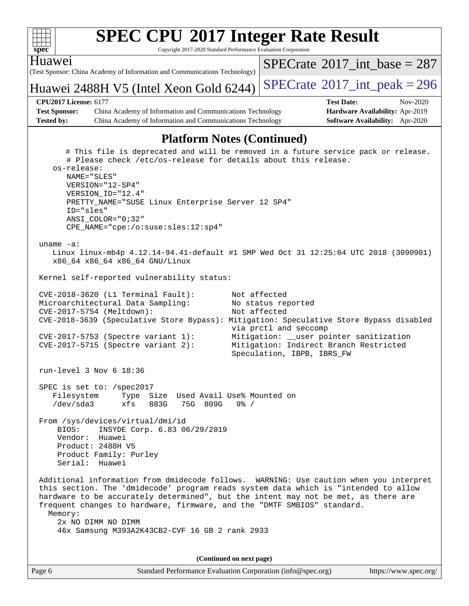

Page 6 Standard Performance Evaluation Corporation [\(info@spec.org\)](mailto:info@spec.org) <https://www.spec.org/>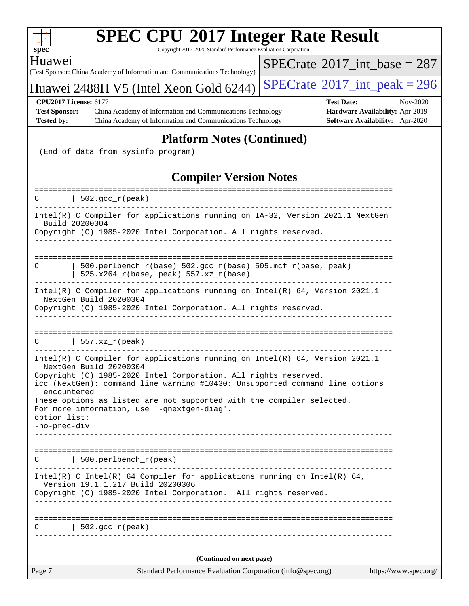

Copyright 2017-2020 Standard Performance Evaluation Corporation

Huawei

(Test Sponsor: China Academy of Information and Communications Technology)

Huawei 2488H V5 (Intel Xeon Gold  $6244$ ) [SPECrate](http://www.spec.org/auto/cpu2017/Docs/result-fields.html#SPECrate2017intpeak)<sup>®</sup>[2017\\_int\\_peak = 2](http://www.spec.org/auto/cpu2017/Docs/result-fields.html#SPECrate2017intpeak)96

 $SPECTate@2017_int\_base = 287$ 

**[Test Sponsor:](http://www.spec.org/auto/cpu2017/Docs/result-fields.html#TestSponsor)** China Academy of Information and Communications Technology **[Hardware Availability:](http://www.spec.org/auto/cpu2017/Docs/result-fields.html#HardwareAvailability)** Apr-2019 **[Tested by:](http://www.spec.org/auto/cpu2017/Docs/result-fields.html#Testedby)** China Academy of Information and Communications Technology **[Software Availability:](http://www.spec.org/auto/cpu2017/Docs/result-fields.html#SoftwareAvailability)** Apr-2020

**[CPU2017 License:](http://www.spec.org/auto/cpu2017/Docs/result-fields.html#CPU2017License)** 6177 **[Test Date:](http://www.spec.org/auto/cpu2017/Docs/result-fields.html#TestDate)** Nov-2020

### **[Platform Notes \(Continued\)](http://www.spec.org/auto/cpu2017/Docs/result-fields.html#PlatformNotes)**

(End of data from sysinfo program)

### **[Compiler Version Notes](http://www.spec.org/auto/cpu2017/Docs/result-fields.html#CompilerVersionNotes)**

Page 7 Standard Performance Evaluation Corporation [\(info@spec.org\)](mailto:info@spec.org) <https://www.spec.org/> ==============================================================================  $C \qquad \qquad \vert \quad 502.\text{gcc\_r}(\text{peak})$ ------------------------------------------------------------------------------ Intel(R) C Compiler for applications running on IA-32, Version 2021.1 NextGen Build 20200304 Copyright (C) 1985-2020 Intel Corporation. All rights reserved. ------------------------------------------------------------------------------ ============================================================================== C | 500.perlbench\_r(base) 502.gcc\_r(base) 505.mcf\_r(base, peak) |  $525.x264_r(base, peak) 557.xz_r(base)$ ------------------------------------------------------------------------------ Intel(R) C Compiler for applications running on Intel(R) 64, Version 2021.1 NextGen Build 20200304 Copyright (C) 1985-2020 Intel Corporation. All rights reserved. ------------------------------------------------------------------------------ ==============================================================================  $C \qquad | \quad 557.xz_r(\text{peak})$ ------------------------------------------------------------------------------ Intel(R) C Compiler for applications running on Intel(R) 64, Version 2021.1 NextGen Build 20200304 Copyright (C) 1985-2020 Intel Corporation. All rights reserved. icc (NextGen): command line warning #10430: Unsupported command line options encountered These options as listed are not supported with the compiler selected. For more information, use '-qnextgen-diag'. option list: -no-prec-div ------------------------------------------------------------------------------ ==============================================================================  $C$  | 500.perlbench  $r(\text{peak})$ ------------------------------------------------------------------------------ Intel(R) C Intel(R) 64 Compiler for applications running on Intel(R)  $64$ , Version 19.1.1.217 Build 20200306 Copyright (C) 1985-2020 Intel Corporation. All rights reserved. ------------------------------------------------------------------------------ ==============================================================================  $C \qquad | \quad 502.\text{gcc\_r}(\text{peak})$ ------------------------------------------------------------------------------ **(Continued on next page)**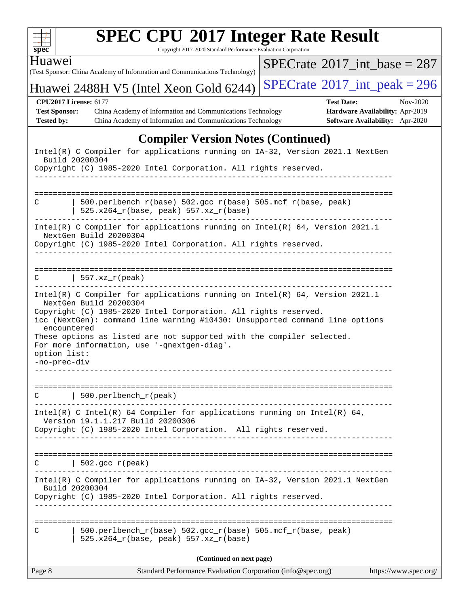| $\mathbf{Spec}^*$ | <b>SPEC CPU®2017 Integer Rate Result</b><br>Copyright 2017-2020 Standard Performance Evaluation Corporation                                                                                                                                                                                                                                                                                                                     |                                             |                                                                                |
|-------------------|---------------------------------------------------------------------------------------------------------------------------------------------------------------------------------------------------------------------------------------------------------------------------------------------------------------------------------------------------------------------------------------------------------------------------------|---------------------------------------------|--------------------------------------------------------------------------------|
| Huawei            | (Test Sponsor: China Academy of Information and Communications Technology)                                                                                                                                                                                                                                                                                                                                                      | $SPECrate^{\circledast}2017$ int base = 287 |                                                                                |
|                   | Huawei 2488H V5 (Intel Xeon Gold 6244)                                                                                                                                                                                                                                                                                                                                                                                          | $SPECrate^{\circ}2017\_int\_peak = 296$     |                                                                                |
| <b>Tested by:</b> | <b>CPU2017 License: 6177</b><br><b>Test Sponsor:</b><br>China Academy of Information and Communications Technology<br>China Academy of Information and Communications Technology                                                                                                                                                                                                                                                | <b>Test Date:</b>                           | Nov-2020<br>Hardware Availability: Apr-2019<br>Software Availability: Apr-2020 |
|                   | <b>Compiler Version Notes (Continued)</b>                                                                                                                                                                                                                                                                                                                                                                                       |                                             |                                                                                |
|                   | Intel(R) C Compiler for applications running on IA-32, Version 2021.1 NextGen<br>Build 20200304<br>Copyright (C) 1985-2020 Intel Corporation. All rights reserved.                                                                                                                                                                                                                                                              |                                             |                                                                                |
| C                 | 500.perlbench_r(base) 502.gcc_r(base) 505.mcf_r(base, peak)<br>525.x264_r(base, peak) 557.xz_r(base)                                                                                                                                                                                                                                                                                                                            |                                             |                                                                                |
|                   | Intel(R) C Compiler for applications running on Intel(R) 64, Version 2021.1<br>NextGen Build 20200304<br>Copyright (C) 1985-2020 Intel Corporation. All rights reserved.                                                                                                                                                                                                                                                        |                                             |                                                                                |
|                   | $\vert$ 557.xz_r(peak)                                                                                                                                                                                                                                                                                                                                                                                                          |                                             |                                                                                |
|                   | Intel(R) C Compiler for applications running on Intel(R) 64, Version 2021.1<br>NextGen Build 20200304<br>Copyright (C) 1985-2020 Intel Corporation. All rights reserved.<br>icc (NextGen): command line warning #10430: Unsupported command line options<br>encountered<br>These options as listed are not supported with the compiler selected.<br>For more information, use '-qnextgen-diag'.<br>option list:<br>-no-prec-div |                                             |                                                                                |
| C                 | $\vert$ 500.perlbench_r(peak)                                                                                                                                                                                                                                                                                                                                                                                                   |                                             |                                                                                |
|                   | Intel(R) C Intel(R) 64 Compiler for applications running on Intel(R) 64,<br>Version 19.1.1.217 Build 20200306<br>Copyright (C) 1985-2020 Intel Corporation. All rights reserved.                                                                                                                                                                                                                                                |                                             |                                                                                |
| С                 | $\vert$ 502.gcc_r(peak)                                                                                                                                                                                                                                                                                                                                                                                                         |                                             |                                                                                |
|                   | Intel(R) C Compiler for applications running on IA-32, Version 2021.1 NextGen<br>Build 20200304<br>Copyright (C) 1985-2020 Intel Corporation. All rights reserved.                                                                                                                                                                                                                                                              |                                             |                                                                                |
| C                 | 500.perlbench_r(base) 502.gcc_r(base) 505.mcf_r(base, peak)<br>525.x264_r(base, peak) 557.xz_r(base)                                                                                                                                                                                                                                                                                                                            |                                             |                                                                                |
| Page 8            | (Continued on next page)<br>Standard Performance Evaluation Corporation (info@spec.org)                                                                                                                                                                                                                                                                                                                                         |                                             | https://www.spec.org/                                                          |
|                   |                                                                                                                                                                                                                                                                                                                                                                                                                                 |                                             |                                                                                |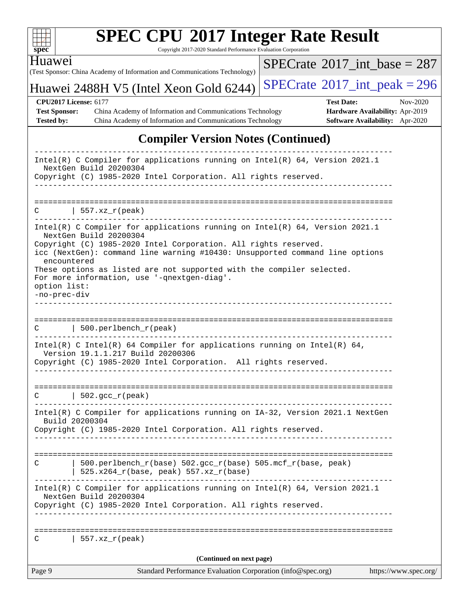| v.<br>н |  |  |  |  |  |  |  |
|---------|--|--|--|--|--|--|--|

Huawei

# **[SPEC CPU](http://www.spec.org/auto/cpu2017/Docs/result-fields.html#SPECCPU2017IntegerRateResult)[2017 Integer Rate Result](http://www.spec.org/auto/cpu2017/Docs/result-fields.html#SPECCPU2017IntegerRateResult)**

Copyright 2017-2020 Standard Performance Evaluation Corporation

(Test Sponsor: China Academy of Information and Communications Technology)

 $SPECrate$ <sup>®</sup>[2017\\_int\\_base =](http://www.spec.org/auto/cpu2017/Docs/result-fields.html#SPECrate2017intbase) 287

Huawei 2488H V5 (Intel Xeon Gold  $6244$ ) [SPECrate](http://www.spec.org/auto/cpu2017/Docs/result-fields.html#SPECrate2017intpeak)<sup>®</sup>[2017\\_int\\_peak = 2](http://www.spec.org/auto/cpu2017/Docs/result-fields.html#SPECrate2017intpeak)96

**[Test Sponsor:](http://www.spec.org/auto/cpu2017/Docs/result-fields.html#TestSponsor)** China Academy of Information and Communications Technology **[Hardware Availability:](http://www.spec.org/auto/cpu2017/Docs/result-fields.html#HardwareAvailability)** Apr-2019 **[Tested by:](http://www.spec.org/auto/cpu2017/Docs/result-fields.html#Testedby)** China Academy of Information and Communications Technology **[Software Availability:](http://www.spec.org/auto/cpu2017/Docs/result-fields.html#SoftwareAvailability)** Apr-2020

**[CPU2017 License:](http://www.spec.org/auto/cpu2017/Docs/result-fields.html#CPU2017License)** 6177 **[Test Date:](http://www.spec.org/auto/cpu2017/Docs/result-fields.html#TestDate)** Nov-2020

### **[Compiler Version Notes \(Continued\)](http://www.spec.org/auto/cpu2017/Docs/result-fields.html#CompilerVersionNotes)**

| Page 9                                      | Standard Performance Evaluation Corporation (info@spec.org)                                                                                                                                                                                              | https://www.spec.org/ |
|---------------------------------------------|----------------------------------------------------------------------------------------------------------------------------------------------------------------------------------------------------------------------------------------------------------|-----------------------|
|                                             | (Continued on next page)                                                                                                                                                                                                                                 |                       |
| С                                           | $557. xz_r (peak)$                                                                                                                                                                                                                                       |                       |
|                                             | Copyright (C) 1985-2020 Intel Corporation. All rights reserved.                                                                                                                                                                                          |                       |
|                                             | Intel(R) C Compiler for applications running on Intel(R) 64, Version 2021.1<br>NextGen Build 20200304                                                                                                                                                    |                       |
| C                                           | 500.perlbench_r(base) 502.gcc_r(base) 505.mcf_r(base, peak)<br>$525.x264_r(base, peak) 557.xz_r(base)$                                                                                                                                                   |                       |
|                                             | Build 20200304<br>Copyright (C) 1985-2020 Intel Corporation. All rights reserved.                                                                                                                                                                        |                       |
|                                             | Intel(R) C Compiler for applications running on IA-32, Version 2021.1 NextGen                                                                                                                                                                            |                       |
|                                             | $C$   502.gcc_r(peak)                                                                                                                                                                                                                                    |                       |
|                                             | Intel(R) C Intel(R) 64 Compiler for applications running on Intel(R) 64,<br>Version 19.1.1.217 Build 20200306<br>Copyright (C) 1985-2020 Intel Corporation. All rights reserved.<br>---------------------------------                                    |                       |
|                                             | $\text{C}$   500.perlbench_r(peak)<br>_____________________________                                                                                                                                                                                      |                       |
|                                             |                                                                                                                                                                                                                                                          |                       |
| encountered<br>option list:<br>-no-prec-div | These options as listed are not supported with the compiler selected.<br>For more information, use '-qnextgen-diag'.                                                                                                                                     |                       |
|                                             | Intel(R) C Compiler for applications running on Intel(R) 64, Version 2021.1<br>NextGen Build 20200304<br>Copyright (C) 1985-2020 Intel Corporation. All rights reserved.<br>icc (NextGen): command line warning #10430: Unsupported command line options |                       |
| C                                           | 557.xz_r(peak)                                                                                                                                                                                                                                           |                       |
|                                             |                                                                                                                                                                                                                                                          |                       |
|                                             | NextGen Build 20200304<br>Copyright (C) 1985-2020 Intel Corporation. All rights reserved.                                                                                                                                                                |                       |
|                                             | Intel(R) C Compiler for applications running on Intel(R) $64$ , Version 2021.1                                                                                                                                                                           |                       |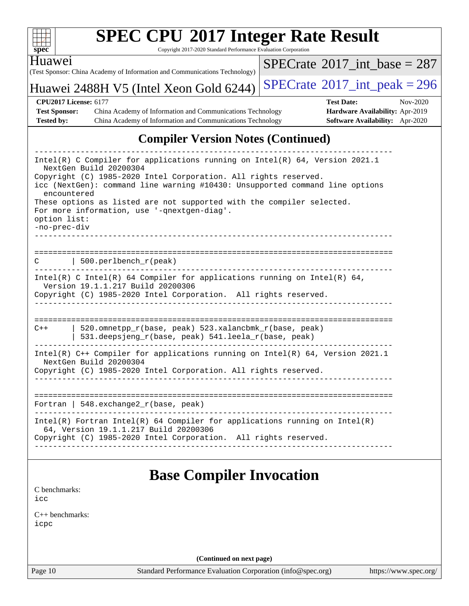| u<br>۳ |  |  |  |  |  |  |  |  |
|--------|--|--|--|--|--|--|--|--|

Copyright 2017-2020 Standard Performance Evaluation Corporation

(Test Sponsor: China Academy of Information and Communications Technology) Huawei

 $SPECrate$ <sup>®</sup>[2017\\_int\\_base =](http://www.spec.org/auto/cpu2017/Docs/result-fields.html#SPECrate2017intbase) 287

### Huawei 2488H V5 (Intel Xeon Gold 6244) [SPECrate](http://www.spec.org/auto/cpu2017/Docs/result-fields.html#SPECrate2017intpeak)®[2017\\_int\\_peak = 2](http://www.spec.org/auto/cpu2017/Docs/result-fields.html#SPECrate2017intpeak)96

**[CPU2017 License:](http://www.spec.org/auto/cpu2017/Docs/result-fields.html#CPU2017License)** 6177 **[Test Date:](http://www.spec.org/auto/cpu2017/Docs/result-fields.html#TestDate)** Nov-2020 **[Test Sponsor:](http://www.spec.org/auto/cpu2017/Docs/result-fields.html#TestSponsor)** China Academy of Information and Communications Technology **[Hardware Availability:](http://www.spec.org/auto/cpu2017/Docs/result-fields.html#HardwareAvailability)** Apr-2019 **[Tested by:](http://www.spec.org/auto/cpu2017/Docs/result-fields.html#Testedby)** China Academy of Information and Communications Technology **[Software Availability:](http://www.spec.org/auto/cpu2017/Docs/result-fields.html#SoftwareAvailability)** Apr-2020

### **[Compiler Version Notes \(Continued\)](http://www.spec.org/auto/cpu2017/Docs/result-fields.html#CompilerVersionNotes)**

| Intel(R) C Compiler for applications running on Intel(R) 64, Version 2021.1<br>NextGen Build 20200304                                           |  |  |  |  |  |  |  |  |  |
|-------------------------------------------------------------------------------------------------------------------------------------------------|--|--|--|--|--|--|--|--|--|
| Copyright (C) 1985-2020 Intel Corporation. All rights reserved.<br>icc (NextGen): command line warning #10430: Unsupported command line options |  |  |  |  |  |  |  |  |  |
| encountered                                                                                                                                     |  |  |  |  |  |  |  |  |  |
| These options as listed are not supported with the compiler selected.<br>For more information, use '-qnextgen-diag'.                            |  |  |  |  |  |  |  |  |  |
| option list:                                                                                                                                    |  |  |  |  |  |  |  |  |  |
| -no-prec-div                                                                                                                                    |  |  |  |  |  |  |  |  |  |
|                                                                                                                                                 |  |  |  |  |  |  |  |  |  |
| 500.perlbench_r(peak)<br>C.                                                                                                                     |  |  |  |  |  |  |  |  |  |
| Intel(R) C Intel(R) 64 Compiler for applications running on Intel(R) 64,<br>Version 19.1.1.217 Build 20200306                                   |  |  |  |  |  |  |  |  |  |
| Copyright (C) 1985-2020 Intel Corporation. All rights reserved.                                                                                 |  |  |  |  |  |  |  |  |  |
|                                                                                                                                                 |  |  |  |  |  |  |  |  |  |
| 520.omnetpp_r(base, peak) 523.xalancbmk_r(base, peak)<br>$C++$                                                                                  |  |  |  |  |  |  |  |  |  |
| 531.deepsjeng_r(base, peak) 541.leela_r(base, peak)                                                                                             |  |  |  |  |  |  |  |  |  |
| Intel(R) $C++$ Compiler for applications running on Intel(R) 64, Version 2021.1                                                                 |  |  |  |  |  |  |  |  |  |
| NextGen Build 20200304<br>Copyright (C) 1985-2020 Intel Corporation. All rights reserved.                                                       |  |  |  |  |  |  |  |  |  |
|                                                                                                                                                 |  |  |  |  |  |  |  |  |  |
| Fortran   $548$ . exchange $2_r$ (base, peak)                                                                                                   |  |  |  |  |  |  |  |  |  |
| $Intel(R)$ Fortran Intel(R) 64 Compiler for applications running on Intel(R)                                                                    |  |  |  |  |  |  |  |  |  |
| 64, Version 19.1.1.217 Build 20200306<br>Copyright (C) 1985-2020 Intel Corporation. All rights reserved.                                        |  |  |  |  |  |  |  |  |  |
|                                                                                                                                                 |  |  |  |  |  |  |  |  |  |
|                                                                                                                                                 |  |  |  |  |  |  |  |  |  |
| <b>Base Compiler Invocation</b>                                                                                                                 |  |  |  |  |  |  |  |  |  |
| C benchmarks:<br>icc                                                                                                                            |  |  |  |  |  |  |  |  |  |
| $C_{++}$ benchmarks:                                                                                                                            |  |  |  |  |  |  |  |  |  |

[icpc](http://www.spec.org/cpu2017/results/res2020q4/cpu2017-20201107-24342.flags.html#user_CXXbase_intel_icpc_c510b6838c7f56d33e37e94d029a35b4a7bccf4766a728ee175e80a419847e808290a9b78be685c44ab727ea267ec2f070ec5dc83b407c0218cded6866a35d07)

**(Continued on next page)**

Page 10 Standard Performance Evaluation Corporation [\(info@spec.org\)](mailto:info@spec.org) <https://www.spec.org/>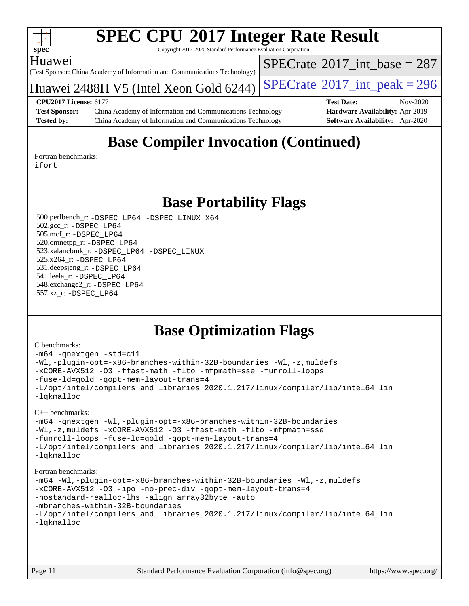

Copyright 2017-2020 Standard Performance Evaluation Corporation

#### Huawei

(Test Sponsor: China Academy of Information and Communications Technology)

Huawei 2488H V5 (Intel Xeon Gold  $6244$ ) [SPECrate](http://www.spec.org/auto/cpu2017/Docs/result-fields.html#SPECrate2017intpeak)<sup>®</sup>[2017\\_int\\_peak = 2](http://www.spec.org/auto/cpu2017/Docs/result-fields.html#SPECrate2017intpeak)96

 $SPECTate$ <sup>®</sup>[2017\\_int\\_base =](http://www.spec.org/auto/cpu2017/Docs/result-fields.html#SPECrate2017intbase) 287

**[Test Sponsor:](http://www.spec.org/auto/cpu2017/Docs/result-fields.html#TestSponsor)** China Academy of Information and Communications Technology **[Hardware Availability:](http://www.spec.org/auto/cpu2017/Docs/result-fields.html#HardwareAvailability)** Apr-2019 **[Tested by:](http://www.spec.org/auto/cpu2017/Docs/result-fields.html#Testedby)** China Academy of Information and Communications Technology **[Software Availability:](http://www.spec.org/auto/cpu2017/Docs/result-fields.html#SoftwareAvailability)** Apr-2020

**[CPU2017 License:](http://www.spec.org/auto/cpu2017/Docs/result-fields.html#CPU2017License)** 6177 **[Test Date:](http://www.spec.org/auto/cpu2017/Docs/result-fields.html#TestDate)** Nov-2020

### **[Base Compiler Invocation \(Continued\)](http://www.spec.org/auto/cpu2017/Docs/result-fields.html#BaseCompilerInvocation)**

[Fortran benchmarks](http://www.spec.org/auto/cpu2017/Docs/result-fields.html#Fortranbenchmarks): [ifort](http://www.spec.org/cpu2017/results/res2020q4/cpu2017-20201107-24342.flags.html#user_FCbase_intel_ifort_8111460550e3ca792625aed983ce982f94888b8b503583aa7ba2b8303487b4d8a21a13e7191a45c5fd58ff318f48f9492884d4413fa793fd88dd292cad7027ca)

**[Base Portability Flags](http://www.spec.org/auto/cpu2017/Docs/result-fields.html#BasePortabilityFlags)**

 500.perlbench\_r: [-DSPEC\\_LP64](http://www.spec.org/cpu2017/results/res2020q4/cpu2017-20201107-24342.flags.html#b500.perlbench_r_basePORTABILITY_DSPEC_LP64) [-DSPEC\\_LINUX\\_X64](http://www.spec.org/cpu2017/results/res2020q4/cpu2017-20201107-24342.flags.html#b500.perlbench_r_baseCPORTABILITY_DSPEC_LINUX_X64) 502.gcc\_r: [-DSPEC\\_LP64](http://www.spec.org/cpu2017/results/res2020q4/cpu2017-20201107-24342.flags.html#suite_basePORTABILITY502_gcc_r_DSPEC_LP64) 505.mcf\_r: [-DSPEC\\_LP64](http://www.spec.org/cpu2017/results/res2020q4/cpu2017-20201107-24342.flags.html#suite_basePORTABILITY505_mcf_r_DSPEC_LP64) 520.omnetpp\_r: [-DSPEC\\_LP64](http://www.spec.org/cpu2017/results/res2020q4/cpu2017-20201107-24342.flags.html#suite_basePORTABILITY520_omnetpp_r_DSPEC_LP64) 523.xalancbmk\_r: [-DSPEC\\_LP64](http://www.spec.org/cpu2017/results/res2020q4/cpu2017-20201107-24342.flags.html#suite_basePORTABILITY523_xalancbmk_r_DSPEC_LP64) [-DSPEC\\_LINUX](http://www.spec.org/cpu2017/results/res2020q4/cpu2017-20201107-24342.flags.html#b523.xalancbmk_r_baseCXXPORTABILITY_DSPEC_LINUX) 525.x264\_r: [-DSPEC\\_LP64](http://www.spec.org/cpu2017/results/res2020q4/cpu2017-20201107-24342.flags.html#suite_basePORTABILITY525_x264_r_DSPEC_LP64) 531.deepsjeng\_r: [-DSPEC\\_LP64](http://www.spec.org/cpu2017/results/res2020q4/cpu2017-20201107-24342.flags.html#suite_basePORTABILITY531_deepsjeng_r_DSPEC_LP64) 541.leela\_r: [-DSPEC\\_LP64](http://www.spec.org/cpu2017/results/res2020q4/cpu2017-20201107-24342.flags.html#suite_basePORTABILITY541_leela_r_DSPEC_LP64) 548.exchange2\_r: [-DSPEC\\_LP64](http://www.spec.org/cpu2017/results/res2020q4/cpu2017-20201107-24342.flags.html#suite_basePORTABILITY548_exchange2_r_DSPEC_LP64) 557.xz\_r: [-DSPEC\\_LP64](http://www.spec.org/cpu2017/results/res2020q4/cpu2017-20201107-24342.flags.html#suite_basePORTABILITY557_xz_r_DSPEC_LP64)

### **[Base Optimization Flags](http://www.spec.org/auto/cpu2017/Docs/result-fields.html#BaseOptimizationFlags)**

#### [C benchmarks](http://www.spec.org/auto/cpu2017/Docs/result-fields.html#Cbenchmarks):

```
-m64 -qnextgen -std=c11
-Wl,-plugin-opt=-x86-branches-within-32B-boundaries -Wl,-z,muldefs
-xCORE-AVX512 -O3 -ffast-math -flto -mfpmath=sse -funroll-loops
-fuse-ld=gold -qopt-mem-layout-trans=4
-L/opt/intel/compilers_and_libraries_2020.1.217/linux/compiler/lib/intel64_lin
-lqkmalloc
```
[C++ benchmarks:](http://www.spec.org/auto/cpu2017/Docs/result-fields.html#CXXbenchmarks)

```
-m64 -qnextgen -Wl,-plugin-opt=-x86-branches-within-32B-boundaries
-Wl,-z,muldefs -xCORE-AVX512 -O3 -ffast-math -flto -mfpmath=sse
-funroll-loops -fuse-ld=gold -qopt-mem-layout-trans=4
-L/opt/intel/compilers_and_libraries_2020.1.217/linux/compiler/lib/intel64_lin
-lqkmalloc
```
#### [Fortran benchmarks](http://www.spec.org/auto/cpu2017/Docs/result-fields.html#Fortranbenchmarks):

```
-m64 -Wl,-plugin-opt=-x86-branches-within-32B-boundaries -Wl,-z,muldefs
-xCORE-AVX512 -O3 -ipo -no-prec-div -qopt-mem-layout-trans=4
-nostandard-realloc-lhs -align array32byte -auto
-mbranches-within-32B-boundaries
-L/opt/intel/compilers_and_libraries_2020.1.217/linux/compiler/lib/intel64_lin
-lqkmalloc
```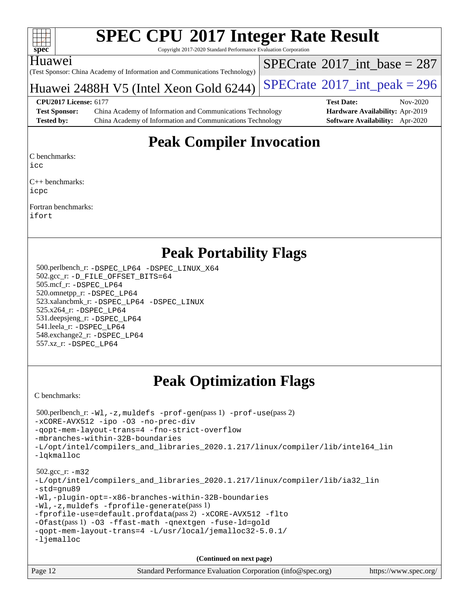| v.<br>н |  |  |  |  |  |  |  |
|---------|--|--|--|--|--|--|--|

Copyright 2017-2020 Standard Performance Evaluation Corporation

#### Huawei

(Test Sponsor: China Academy of Information and Communications Technology)

Huawei 2488H V5 (Intel Xeon Gold  $6244$ ) [SPECrate](http://www.spec.org/auto/cpu2017/Docs/result-fields.html#SPECrate2017intpeak)<sup>®</sup>[2017\\_int\\_peak = 2](http://www.spec.org/auto/cpu2017/Docs/result-fields.html#SPECrate2017intpeak)96

 $SPECTate$ <sup>®</sup>[2017\\_int\\_base =](http://www.spec.org/auto/cpu2017/Docs/result-fields.html#SPECrate2017intbase) 287

**[Test Sponsor:](http://www.spec.org/auto/cpu2017/Docs/result-fields.html#TestSponsor)** China Academy of Information and Communications Technology **[Hardware Availability:](http://www.spec.org/auto/cpu2017/Docs/result-fields.html#HardwareAvailability)** Apr-2019 **[Tested by:](http://www.spec.org/auto/cpu2017/Docs/result-fields.html#Testedby)** China Academy of Information and Communications Technology **[Software Availability:](http://www.spec.org/auto/cpu2017/Docs/result-fields.html#SoftwareAvailability)** Apr-2020

**[CPU2017 License:](http://www.spec.org/auto/cpu2017/Docs/result-fields.html#CPU2017License)** 6177 **[Test Date:](http://www.spec.org/auto/cpu2017/Docs/result-fields.html#TestDate)** Nov-2020

### **[Peak Compiler Invocation](http://www.spec.org/auto/cpu2017/Docs/result-fields.html#PeakCompilerInvocation)**

[C benchmarks](http://www.spec.org/auto/cpu2017/Docs/result-fields.html#Cbenchmarks):

[icc](http://www.spec.org/cpu2017/results/res2020q4/cpu2017-20201107-24342.flags.html#user_CCpeak_intel_icc_66fc1ee009f7361af1fbd72ca7dcefbb700085f36577c54f309893dd4ec40d12360134090235512931783d35fd58c0460139e722d5067c5574d8eaf2b3e37e92)

[C++ benchmarks](http://www.spec.org/auto/cpu2017/Docs/result-fields.html#CXXbenchmarks): [icpc](http://www.spec.org/cpu2017/results/res2020q4/cpu2017-20201107-24342.flags.html#user_CXXpeak_intel_icpc_c510b6838c7f56d33e37e94d029a35b4a7bccf4766a728ee175e80a419847e808290a9b78be685c44ab727ea267ec2f070ec5dc83b407c0218cded6866a35d07)

[Fortran benchmarks:](http://www.spec.org/auto/cpu2017/Docs/result-fields.html#Fortranbenchmarks) [ifort](http://www.spec.org/cpu2017/results/res2020q4/cpu2017-20201107-24342.flags.html#user_FCpeak_intel_ifort_8111460550e3ca792625aed983ce982f94888b8b503583aa7ba2b8303487b4d8a21a13e7191a45c5fd58ff318f48f9492884d4413fa793fd88dd292cad7027ca)

### **[Peak Portability Flags](http://www.spec.org/auto/cpu2017/Docs/result-fields.html#PeakPortabilityFlags)**

 500.perlbench\_r: [-DSPEC\\_LP64](http://www.spec.org/cpu2017/results/res2020q4/cpu2017-20201107-24342.flags.html#b500.perlbench_r_peakPORTABILITY_DSPEC_LP64) [-DSPEC\\_LINUX\\_X64](http://www.spec.org/cpu2017/results/res2020q4/cpu2017-20201107-24342.flags.html#b500.perlbench_r_peakCPORTABILITY_DSPEC_LINUX_X64) 502.gcc\_r: [-D\\_FILE\\_OFFSET\\_BITS=64](http://www.spec.org/cpu2017/results/res2020q4/cpu2017-20201107-24342.flags.html#user_peakPORTABILITY502_gcc_r_file_offset_bits_64_5ae949a99b284ddf4e95728d47cb0843d81b2eb0e18bdfe74bbf0f61d0b064f4bda2f10ea5eb90e1dcab0e84dbc592acfc5018bc955c18609f94ddb8d550002c) 505.mcf\_r: [-DSPEC\\_LP64](http://www.spec.org/cpu2017/results/res2020q4/cpu2017-20201107-24342.flags.html#suite_peakPORTABILITY505_mcf_r_DSPEC_LP64) 520.omnetpp\_r: [-DSPEC\\_LP64](http://www.spec.org/cpu2017/results/res2020q4/cpu2017-20201107-24342.flags.html#suite_peakPORTABILITY520_omnetpp_r_DSPEC_LP64) 523.xalancbmk\_r: [-DSPEC\\_LP64](http://www.spec.org/cpu2017/results/res2020q4/cpu2017-20201107-24342.flags.html#suite_peakPORTABILITY523_xalancbmk_r_DSPEC_LP64) [-DSPEC\\_LINUX](http://www.spec.org/cpu2017/results/res2020q4/cpu2017-20201107-24342.flags.html#b523.xalancbmk_r_peakCXXPORTABILITY_DSPEC_LINUX) 525.x264\_r: [-DSPEC\\_LP64](http://www.spec.org/cpu2017/results/res2020q4/cpu2017-20201107-24342.flags.html#suite_peakPORTABILITY525_x264_r_DSPEC_LP64) 531.deepsjeng\_r: [-DSPEC\\_LP64](http://www.spec.org/cpu2017/results/res2020q4/cpu2017-20201107-24342.flags.html#suite_peakPORTABILITY531_deepsjeng_r_DSPEC_LP64) 541.leela\_r: [-DSPEC\\_LP64](http://www.spec.org/cpu2017/results/res2020q4/cpu2017-20201107-24342.flags.html#suite_peakPORTABILITY541_leela_r_DSPEC_LP64) 548.exchange2\_r: [-DSPEC\\_LP64](http://www.spec.org/cpu2017/results/res2020q4/cpu2017-20201107-24342.flags.html#suite_peakPORTABILITY548_exchange2_r_DSPEC_LP64) 557.xz\_r: [-DSPEC\\_LP64](http://www.spec.org/cpu2017/results/res2020q4/cpu2017-20201107-24342.flags.html#suite_peakPORTABILITY557_xz_r_DSPEC_LP64)

### **[Peak Optimization Flags](http://www.spec.org/auto/cpu2017/Docs/result-fields.html#PeakOptimizationFlags)**

[C benchmarks](http://www.spec.org/auto/cpu2017/Docs/result-fields.html#Cbenchmarks):

```
 500.perlbench_r: -Wl,-z,muldefs -prof-gen(pass 1) -prof-use(pass 2)
-xCORE-AVX512 -ipo -O3 -no-prec-div
-qopt-mem-layout-trans=4 -fno-strict-overflow
-mbranches-within-32B-boundaries
-L/opt/intel/compilers_and_libraries_2020.1.217/linux/compiler/lib/intel64_lin
-lqkmalloc
 502.gcc_r: -m32
-L/opt/intel/compilers_and_libraries_2020.1.217/linux/compiler/lib/ia32_lin
-std=gnu89
-Wl,-plugin-opt=-x86-branches-within-32B-boundaries
-Wl,-z,muldefs -fprofile-generate(pass 1)
-fprofile-use=default.profdata(pass 2) -xCORE-AVX512 -flto
-Ofast(pass 1) -O3 -ffast-math -qnextgen -fuse-ld=gold
-qopt-mem-layout-trans=4 -L/usr/local/jemalloc32-5.0.1/
-ljemalloc
                                     (Continued on next page)
```
Page 12 Standard Performance Evaluation Corporation [\(info@spec.org\)](mailto:info@spec.org) <https://www.spec.org/>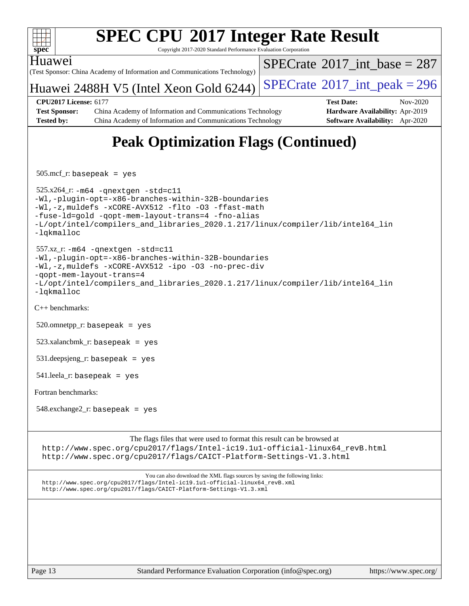

Copyright 2017-2020 Standard Performance Evaluation Corporation

#### Huawei

(Test Sponsor: China Academy of Information and Communications Technology)

 $SPECTate$ <sup>®</sup>[2017\\_int\\_base =](http://www.spec.org/auto/cpu2017/Docs/result-fields.html#SPECrate2017intbase) 287

### Huawei 2488H V5 (Intel Xeon Gold  $6244$ ) [SPECrate](http://www.spec.org/auto/cpu2017/Docs/result-fields.html#SPECrate2017intpeak)<sup>®</sup>[2017\\_int\\_peak = 2](http://www.spec.org/auto/cpu2017/Docs/result-fields.html#SPECrate2017intpeak)96

**[Test Sponsor:](http://www.spec.org/auto/cpu2017/Docs/result-fields.html#TestSponsor)** China Academy of Information and Communications Technology **[Hardware Availability:](http://www.spec.org/auto/cpu2017/Docs/result-fields.html#HardwareAvailability)** Apr-2019 **[Tested by:](http://www.spec.org/auto/cpu2017/Docs/result-fields.html#Testedby)** China Academy of Information and Communications Technology **[Software Availability:](http://www.spec.org/auto/cpu2017/Docs/result-fields.html#SoftwareAvailability)** Apr-2020

**[CPU2017 License:](http://www.spec.org/auto/cpu2017/Docs/result-fields.html#CPU2017License)** 6177 **[Test Date:](http://www.spec.org/auto/cpu2017/Docs/result-fields.html#TestDate)** Nov-2020

## **[Peak Optimization Flags \(Continued\)](http://www.spec.org/auto/cpu2017/Docs/result-fields.html#PeakOptimizationFlags)**

505.mcf\_r: basepeak = yes

 525.x264\_r: [-m64](http://www.spec.org/cpu2017/results/res2020q4/cpu2017-20201107-24342.flags.html#user_peakCCLD525_x264_r_m64-icc) [-qnextgen](http://www.spec.org/cpu2017/results/res2020q4/cpu2017-20201107-24342.flags.html#user_peakCCCOPTIMIZELD525_x264_r_f-qnextgen) [-std=c11](http://www.spec.org/cpu2017/results/res2020q4/cpu2017-20201107-24342.flags.html#user_peakCCLD525_x264_r_std-icc-std_0e1c27790398a4642dfca32ffe6c27b5796f9c2d2676156f2e42c9c44eaad0c049b1cdb667a270c34d979996257aeb8fc440bfb01818dbc9357bd9d174cb8524) [-Wl,-plugin-opt=-x86-branches-within-32B-boundaries](http://www.spec.org/cpu2017/results/res2020q4/cpu2017-20201107-24342.flags.html#user_peakLDFLAGS525_x264_r_f-x86-branches-within-32B-boundaries_0098b4e4317ae60947b7b728078a624952a08ac37a3c797dfb4ffeb399e0c61a9dd0f2f44ce917e9361fb9076ccb15e7824594512dd315205382d84209e912f3) [-Wl,-z,muldefs](http://www.spec.org/cpu2017/results/res2020q4/cpu2017-20201107-24342.flags.html#user_peakEXTRA_LDFLAGS525_x264_r_link_force_multiple1_b4cbdb97b34bdee9ceefcfe54f4c8ea74255f0b02a4b23e853cdb0e18eb4525ac79b5a88067c842dd0ee6996c24547a27a4b99331201badda8798ef8a743f577) [-xCORE-AVX512](http://www.spec.org/cpu2017/results/res2020q4/cpu2017-20201107-24342.flags.html#user_peakCOPTIMIZE525_x264_r_f-xCORE-AVX512) [-flto](http://www.spec.org/cpu2017/results/res2020q4/cpu2017-20201107-24342.flags.html#user_peakCOPTIMIZE525_x264_r_f-flto) [-O3](http://www.spec.org/cpu2017/results/res2020q4/cpu2017-20201107-24342.flags.html#user_peakCOPTIMIZE525_x264_r_f-O3) [-ffast-math](http://www.spec.org/cpu2017/results/res2020q4/cpu2017-20201107-24342.flags.html#user_peakCOPTIMIZE525_x264_r_f-ffast-math) [-fuse-ld=gold](http://www.spec.org/cpu2017/results/res2020q4/cpu2017-20201107-24342.flags.html#user_peakCOPTIMIZE525_x264_r_f-fuse-ld_920b3586e2b8c6e0748b9c84fa9b744736ba725a32cab14ad8f3d4ad28eecb2f59d1144823d2e17006539a88734fe1fc08fc3035f7676166309105a78aaabc32) [-qopt-mem-layout-trans=4](http://www.spec.org/cpu2017/results/res2020q4/cpu2017-20201107-24342.flags.html#user_peakCOPTIMIZE525_x264_r_f-qopt-mem-layout-trans_fa39e755916c150a61361b7846f310bcdf6f04e385ef281cadf3647acec3f0ae266d1a1d22d972a7087a248fd4e6ca390a3634700869573d231a252c784941a8) [-fno-alias](http://www.spec.org/cpu2017/results/res2020q4/cpu2017-20201107-24342.flags.html#user_peakEXTRA_OPTIMIZE525_x264_r_f-no-alias_77dbac10d91cbfe898fbf4a29d1b29b694089caa623bdd1baccc9957d4edbe8d106c0b357e2748a65b44fc9e83d78098bb898077f3fe92f9faf24f7bd4a07ed7) [-L/opt/intel/compilers\\_and\\_libraries\\_2020.1.217/linux/compiler/lib/intel64\\_lin](http://www.spec.org/cpu2017/results/res2020q4/cpu2017-20201107-24342.flags.html#user_peakEXTRA_LIBS525_x264_r_linkpath_57509d35624eba098eea36fbb56f49cc34a0b9ddc7c2cb8d353196fad1bb407d9701613333817233d0b91533f8d621e799f46d56eb6ab807a2c91bcd6c4cd0df) [-lqkmalloc](http://www.spec.org/cpu2017/results/res2020q4/cpu2017-20201107-24342.flags.html#user_peakEXTRA_LIBS525_x264_r_qkmalloc_link_lib_79a818439969f771c6bc311cfd333c00fc099dad35c030f5aab9dda831713d2015205805422f83de8875488a2991c0a156aaa600e1f9138f8fc37004abc96dc5)

 557.xz\_r: [-m64](http://www.spec.org/cpu2017/results/res2020q4/cpu2017-20201107-24342.flags.html#user_peakCCLD557_xz_r_m64-icc) [-qnextgen](http://www.spec.org/cpu2017/results/res2020q4/cpu2017-20201107-24342.flags.html#user_peakCCLD557_xz_r_f-qnextgen) [-std=c11](http://www.spec.org/cpu2017/results/res2020q4/cpu2017-20201107-24342.flags.html#user_peakCCLD557_xz_r_std-icc-std_0e1c27790398a4642dfca32ffe6c27b5796f9c2d2676156f2e42c9c44eaad0c049b1cdb667a270c34d979996257aeb8fc440bfb01818dbc9357bd9d174cb8524) [-Wl,-plugin-opt=-x86-branches-within-32B-boundaries](http://www.spec.org/cpu2017/results/res2020q4/cpu2017-20201107-24342.flags.html#user_peakLDFLAGS557_xz_r_f-x86-branches-within-32B-boundaries_0098b4e4317ae60947b7b728078a624952a08ac37a3c797dfb4ffeb399e0c61a9dd0f2f44ce917e9361fb9076ccb15e7824594512dd315205382d84209e912f3) [-Wl,-z,muldefs](http://www.spec.org/cpu2017/results/res2020q4/cpu2017-20201107-24342.flags.html#user_peakEXTRA_LDFLAGS557_xz_r_link_force_multiple1_b4cbdb97b34bdee9ceefcfe54f4c8ea74255f0b02a4b23e853cdb0e18eb4525ac79b5a88067c842dd0ee6996c24547a27a4b99331201badda8798ef8a743f577) [-xCORE-AVX512](http://www.spec.org/cpu2017/results/res2020q4/cpu2017-20201107-24342.flags.html#user_peakCOPTIMIZE557_xz_r_f-xCORE-AVX512) [-ipo](http://www.spec.org/cpu2017/results/res2020q4/cpu2017-20201107-24342.flags.html#user_peakCOPTIMIZE557_xz_r_f-ipo) [-O3](http://www.spec.org/cpu2017/results/res2020q4/cpu2017-20201107-24342.flags.html#user_peakCOPTIMIZE557_xz_r_f-O3) [-no-prec-div](http://www.spec.org/cpu2017/results/res2020q4/cpu2017-20201107-24342.flags.html#user_peakCOPTIMIZE557_xz_r_f-no-prec-div) [-qopt-mem-layout-trans=4](http://www.spec.org/cpu2017/results/res2020q4/cpu2017-20201107-24342.flags.html#user_peakCOPTIMIZE557_xz_r_f-qopt-mem-layout-trans_fa39e755916c150a61361b7846f310bcdf6f04e385ef281cadf3647acec3f0ae266d1a1d22d972a7087a248fd4e6ca390a3634700869573d231a252c784941a8) [-L/opt/intel/compilers\\_and\\_libraries\\_2020.1.217/linux/compiler/lib/intel64\\_lin](http://www.spec.org/cpu2017/results/res2020q4/cpu2017-20201107-24342.flags.html#user_peakEXTRA_LIBS557_xz_r_linkpath_57509d35624eba098eea36fbb56f49cc34a0b9ddc7c2cb8d353196fad1bb407d9701613333817233d0b91533f8d621e799f46d56eb6ab807a2c91bcd6c4cd0df) [-lqkmalloc](http://www.spec.org/cpu2017/results/res2020q4/cpu2017-20201107-24342.flags.html#user_peakEXTRA_LIBS557_xz_r_qkmalloc_link_lib_79a818439969f771c6bc311cfd333c00fc099dad35c030f5aab9dda831713d2015205805422f83de8875488a2991c0a156aaa600e1f9138f8fc37004abc96dc5)

[C++ benchmarks:](http://www.spec.org/auto/cpu2017/Docs/result-fields.html#CXXbenchmarks)

 $520.$ omnetpp\_r: basepeak = yes

523.xalancbmk\_r: basepeak = yes

531.deepsjeng\_r: basepeak = yes

 $541.$ leela\_r: basepeak = yes

[Fortran benchmarks](http://www.spec.org/auto/cpu2017/Docs/result-fields.html#Fortranbenchmarks):

548.exchange2\_r: basepeak = yes

[The flags files that were used to format this result can be browsed at](tmsearch)

[http://www.spec.org/cpu2017/flags/Intel-ic19.1u1-official-linux64\\_revB.html](http://www.spec.org/cpu2017/flags/Intel-ic19.1u1-official-linux64_revB.html) <http://www.spec.org/cpu2017/flags/CAICT-Platform-Settings-V1.3.html>

[You can also download the XML flags sources by saving the following links:](tmsearch) [http://www.spec.org/cpu2017/flags/Intel-ic19.1u1-official-linux64\\_revB.xml](http://www.spec.org/cpu2017/flags/Intel-ic19.1u1-official-linux64_revB.xml) <http://www.spec.org/cpu2017/flags/CAICT-Platform-Settings-V1.3.xml>